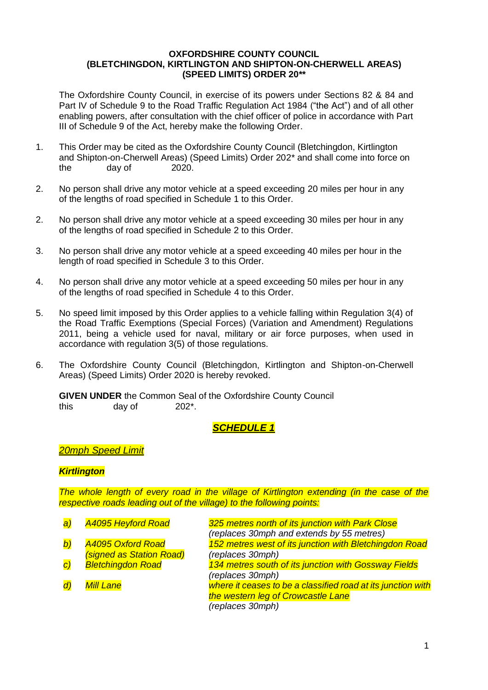#### **OXFORDSHIRE COUNTY COUNCIL (BLETCHINGDON, KIRTLINGTON AND SHIPTON-ON-CHERWELL AREAS) (SPEED LIMITS) ORDER 20\*\***

The Oxfordshire County Council, in exercise of its powers under Sections 82 & 84 and Part IV of Schedule 9 to the Road Traffic Regulation Act 1984 ("the Act") and of all other enabling powers, after consultation with the chief officer of police in accordance with Part III of Schedule 9 of the Act, hereby make the following Order.

- 1. This Order may be cited as the Oxfordshire County Council (Bletchingdon, Kirtlington and Shipton-on-Cherwell Areas) (Speed Limits) Order 202\* and shall come into force on the day of 2020.
- 2. No person shall drive any motor vehicle at a speed exceeding 20 miles per hour in any of the lengths of road specified in Schedule 1 to this Order.
- 2. No person shall drive any motor vehicle at a speed exceeding 30 miles per hour in any of the lengths of road specified in Schedule 2 to this Order.
- 3. No person shall drive any motor vehicle at a speed exceeding 40 miles per hour in the length of road specified in Schedule 3 to this Order.
- 4. No person shall drive any motor vehicle at a speed exceeding 50 miles per hour in any of the lengths of road specified in Schedule 4 to this Order.
- 5. No speed limit imposed by this Order applies to a vehicle falling within Regulation 3(4) of the Road Traffic Exemptions (Special Forces) (Variation and Amendment) Regulations 2011, being a vehicle used for naval, military or air force purposes, when used in accordance with regulation 3(5) of those regulations.
- 6. The Oxfordshire County Council (Bletchingdon, Kirtlington and Shipton-on-Cherwell Areas) (Speed Limits) Order 2020 is hereby revoked.

**GIVEN UNDER** the Common Seal of the Oxfordshire County Council this day of 202<sup>\*</sup>.

### *SCHEDULE 1*

### *20mph Speed Limit*

#### *Kirtlington*

*The whole length of every road in the village of Kirtlington extending (in the case of the respective roads leading out of the village) to the following points:*

| a                | <b>A4095 Heyford Road</b> | 325 metres north of its junction with Park Close             |  |
|------------------|---------------------------|--------------------------------------------------------------|--|
|                  |                           | (replaces 30mph and extends by 55 metres)                    |  |
| $\left b\right)$ | <b>A4095 Oxford Road</b>  | 152 metres west of its junction with Bletchingdon Road       |  |
|                  | (signed as Station Road)  | (replaces 30mph)                                             |  |
| $\overline{c}$   | <b>Bletchingdon Road</b>  | 134 metres south of its junction with Gossway Fields         |  |
|                  |                           | (replaces 30mph)                                             |  |
| $\overline{d}$   | <b>Mill Lane</b>          | where it ceases to be a classified road at its junction with |  |
|                  |                           | the western leg of Crowcastle Lane                           |  |
|                  |                           | (replaces 30mph)                                             |  |
|                  |                           |                                                              |  |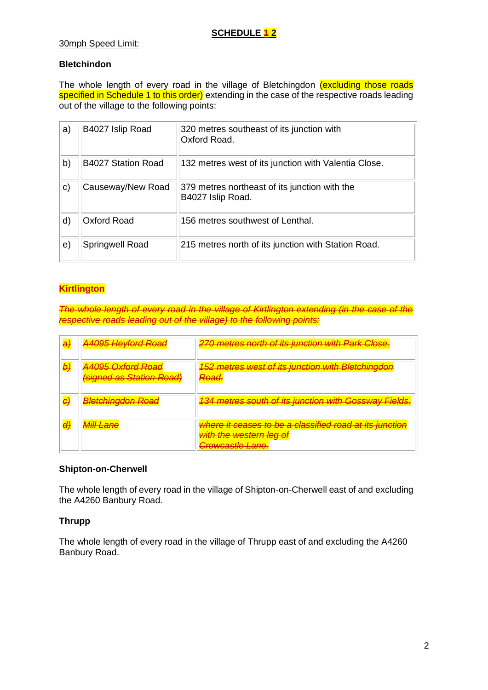### **SCHEDULE 42**

#### 30mph Speed Limit:

### **Bletchindon**

The whole length of every road in the village of Bletchingdon (excluding those roads specified in Schedule 1 to this order) extending in the case of the respective roads leading out of the village to the following points:

| a)           | B4027 Islip Road   | 320 metres southeast of its junction with<br>Oxford Road.          |
|--------------|--------------------|--------------------------------------------------------------------|
| b)           | B4027 Station Road | 132 metres west of its junction with Valentia Close.               |
| $\mathsf{c}$ | Causeway/New Road  | 379 metres northeast of its junction with the<br>B4027 Islip Road. |
| d)           | Oxford Road        | 156 metres southwest of Lenthal.                                   |
| e)           | Springwell Road    | 215 metres north of its junction with Station Road.                |

### **Kirtlington**

*The whole length of every road in the village of Kirtlington extending (in the case of the respective roads leading out of the village) to the following points:*

| a, | <b>A4095 Heyford Road</b>                                   | 270 metres north of its junction with Park Close.                                                                 |
|----|-------------------------------------------------------------|-------------------------------------------------------------------------------------------------------------------|
| b) | <b>A4095 Oxford Road</b><br><b>(signed as Station Road)</b> | 152 metres west of its junction with Bletchingdon<br><del>Road.</del>                                             |
|    | <b>Bletchingdon Road</b>                                    | <b>134 metres south of its junction with Gossway Fields.</b>                                                      |
|    | <b>Mill Lane</b>                                            | where it ceases to be a classified road at its junction<br>with the western leg of<br><del>Crowcastle Lane.</del> |

#### **Shipton-on-Cherwell**

The whole length of every road in the village of Shipton-on-Cherwell east of and excluding the A4260 Banbury Road.

### **Thrupp**

The whole length of every road in the village of Thrupp east of and excluding the A4260 Banbury Road.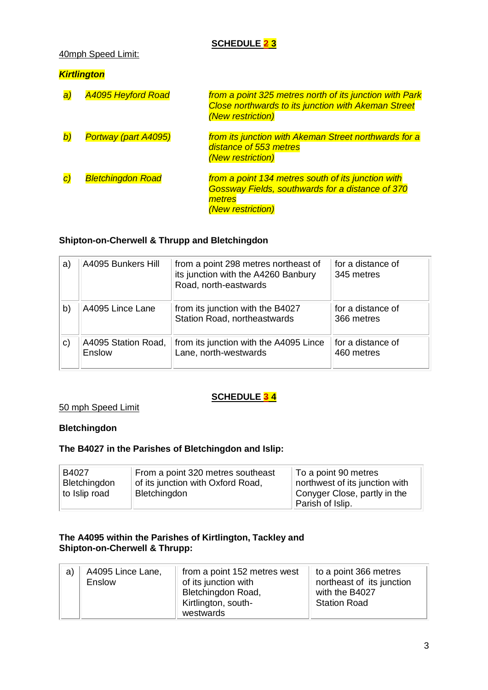# **SCHEDULE 2 3**

### 40mph Speed Limit:

### *Kirtlington*

| a               | <b>A4095 Heyford Road</b>   | from a point 325 metres north of its junction with Park<br><b>Close northwards to its junction with Akeman Street</b><br>(New restriction) |
|-----------------|-----------------------------|--------------------------------------------------------------------------------------------------------------------------------------------|
| $\bm{b}$        | <b>Portway (part A4095)</b> | from its junction with Akeman Street northwards for a<br>distance of 553 metres<br>(New restriction)                                       |
| $\vert C \vert$ | <b>Bletchingdon Road</b>    | from a point 134 metres south of its junction with<br>Gossway Fields, southwards for a distance of 370<br>metres<br>(New restriction)      |

## **Shipton-on-Cherwell & Thrupp and Bletchingdon**

| a)           | A4095 Bunkers Hill            | from a point 298 metres northeast of<br>its junction with the A4260 Banbury<br>Road, north-eastwards | for a distance of<br>345 metres |
|--------------|-------------------------------|------------------------------------------------------------------------------------------------------|---------------------------------|
| b)           | A4095 Lince Lane              | from its junction with the B4027<br><b>Station Road, northeastwards</b>                              | for a distance of<br>366 metres |
| $\mathsf{c}$ | A4095 Station Road,<br>Enslow | from its junction with the A4095 Lince<br>Lane, north-westwards                                      | for a distance of<br>460 metres |

## **SCHEDULE 3 4**

#### 50 mph Speed Limit

## **Bletchingdon**

#### **The B4027 in the Parishes of Bletchingdon and Islip:**

| B4027         | From a point 320 metres southeast | To a point 90 metres           |
|---------------|-----------------------------------|--------------------------------|
| Bletchingdon  | of its junction with Oxford Road, | northwest of its junction with |
| to Islip road | Bletchingdon                      | Conyger Close, partly in the   |
|               |                                   | <sup>1</sup> Parish of Islip.  |

### **The A4095 within the Parishes of Kirtlington, Tackley and Shipton-on-Cherwell & Thrupp:**

| a) | A4095 Lince Lane,<br>Enslow | from a point 152 metres west<br>of its junction with<br>Bletchingdon Road,<br>Kirtlington, south-<br>westwards | to a point 366 metres<br>northeast of its junction<br>with the B4027<br><b>Station Road</b> |
|----|-----------------------------|----------------------------------------------------------------------------------------------------------------|---------------------------------------------------------------------------------------------|
|----|-----------------------------|----------------------------------------------------------------------------------------------------------------|---------------------------------------------------------------------------------------------|